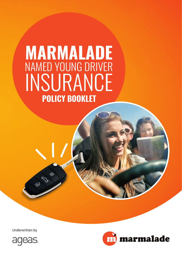# **POLICY BOOKLET MARMALADE** NAMED YOUNG DRIVER INSURANCE

Underwritten by

ED E



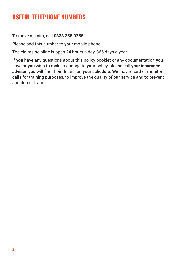### **USEFUL TELEPHONE NUMBERS**

To make a claim, call **0333 358 0258**

Please add this number to **your** mobile phone.

The claims helpline is open 24 hours a day, 365 days a year.

If **you** have any questions about this policy booklet or any documentation **you** have or **you** wish to make a change to **your** policy, please call **your insurance adviser**, **you** will find their details on **your schedule**. **We** may record or monitor calls for training purposes, to improve the quality of **our** service and to prevent and detect fraud.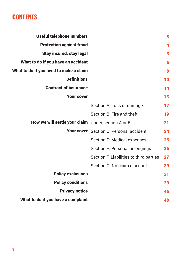## **CONTENTS**

| Useful telephone numbers                           |                                                | 3  |
|----------------------------------------------------|------------------------------------------------|----|
| <b>Protection against fraud</b>                    |                                                | 4  |
| <b>Stay insured, stay legal</b>                    |                                                | 5  |
| What to do if you have an accident                 |                                                | 6  |
| What to do if you need to make a claim             |                                                | 8  |
| <b>Definitions</b>                                 |                                                | 10 |
| <b>Contract of insurance</b>                       |                                                | 14 |
| <b>Your cover</b>                                  |                                                | 15 |
|                                                    | Section A: Loss of damage                      | 17 |
|                                                    | Section B: Fire and theft                      | 19 |
| How we will settle your claim Under section A or B |                                                | 21 |
|                                                    | <b>Your cover</b> Section C: Personal accident | 24 |
|                                                    | Section D: Medical expenses                    | 25 |
|                                                    | Section E: Personal belongings                 | 26 |
|                                                    | Section F. Liabilities to third parties        | 27 |
|                                                    | Section G: No claim discount                   | 29 |
| <b>Policy exclusions</b>                           |                                                | 31 |
| <b>Policy conditions</b>                           |                                                | 33 |
| <b>Privacy notice</b>                              |                                                | 46 |
| What to do if you have a complaint                 |                                                | 48 |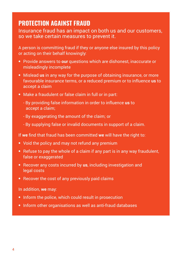### **PROTECTION AGAINST FRAUD**

Insurance fraud has an impact on both us and our customers, so we take certain measures to prevent it.

A person is committing fraud if they or anyone else insured by this policy or acting on their behalf knowingly:

- **•** Provide answers to **our** questions which are dishonest, inaccurate or misleadingly incomplete
- **•** Mislead **us** in any way for the purpose of obtaining insurance, or more favourable insurance terms, or a reduced premium or to influence **us** to accept a claim
- **•** Make a fraudulent or false claim in full or in part:
	- By providing false information in order to influence **us** to accept a claim;
	- By exaggerating the amount of the claim; or
	- By supplying false or invalid documents in support of a claim.

If **we** find that fraud has been committed **we** will have the right to:

- **•** Void the policy and may not refund any premium
- **•** Refuse to pay the whole of a claim if any part is in any way fraudulent, false or exaggerated
- **•** Recover any costs incurred by **us**, including investigation and legal costs
- **•** Recover the cost of any previously paid claims

#### In addition, **we** may:

- **•** Inform the police, which could result in prosecution
- **•** Inform other organisations as well as anti-fraud databases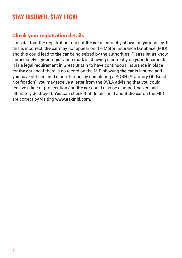### **STAY INSURED, STAY LEGAL**

### Check your registration details

It is vital that the registration mark of **the car** is correctly shown on **your** policy. If this is incorrect, **the car** may not appear on the Motor Insurance Database (MID) and this could lead to **the car** being seized by the authorities. Please let **us** know immediately if **your** registration mark is showing incorrectly on **your** documents. It is a legal requirement in Great Britain to have continuous insurance in place for **the car** and if there is no record on the MID showing **the car** is insured and **you** have not declared it as 'off road' by completing a SORN (Statutory Off Road Notification), **you** may receive a letter from the DVLA advising that **you** could receive a fine or prosecution and **the car** could also be clamped, seized and ultimately destroyed. **You** can check that details held about **the car** on the MID are correct by visiting **www.askmid.com.**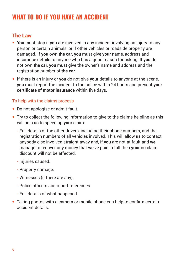### **WHAT TO DO IF YOU HAVE AN ACCIDENT**

#### The Law

- **• You** must stop if **you** are involved in any incident involving an injury to any person or certain animals, or if other vehicles or roadside property are damaged. If **you** own **the car**, **you** must give **your** name, address and insurance details to anyone who has a good reason for asking. If **you** do not own **the car**, **you** must give the owner's name and address and the registration number of **the car**.
- **•** If there is an injury or **you** do not give **your** details to anyone at the scene, **you** must report the incident to the police within 24 hours and present **your certificate of motor insurance** within five days.

#### To help with the claims process

- **•** Do not apologise or admit fault.
- **•** Try to collect the following information to give to the claims helpline as this will help **us** to speed up **your** claim:
	- Full details of the other drivers, including their phone numbers, and the registration numbers of all vehicles involved. This will allow **us** to contact anybody else involved straight away and, if **you** are not at fault and **we** manage to recover any money that **we**'ve paid in full then **your** no claim discount will not be affected.
	- Injuries caused.
	- Property damage.
	- Witnesses (if there are any).
	- Police officers and report references.
	- Full details of what happened.
- **•** Taking photos with a camera or mobile phone can help to confirm certain accident details.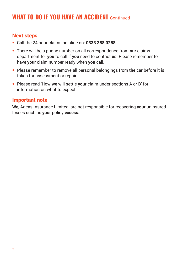### **WHAT TO DO IF YOU HAVE AN ACCIDENT** Continued

#### Next steps

- **•** Call the 24 hour claims helpline on: **0333 358 0258**
- **•** There will be a phone number on all correspondence from **our** claims department for **you** to call if **you** need to contact **us**. Please remember to have **your** claim number ready when **you** call.
- **•** Please remember to remove all personal belongings from **the car** before it is taken for assessment or repair.
- **•** Please read 'How **we** will settle **your** claim under sections A or B' for information on what to expect.

#### Important note

**We**, Ageas Insurance Limited, are not responsible for recovering **your** uninsured losses such as **your** policy **excess**.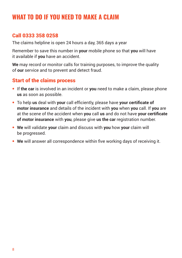### **WHAT TO DO IF YOU NEED TO MAKE A CLAIM**

#### Call 0333 358 0258

The claims helpline is open 24 hours a day, 365 days a year

Remember to save this number in **your** mobile phone so that **you** will have it available if **you** have an accident.

**We** may record or monitor calls for training purposes, to improve the quality of **our** service and to prevent and detect fraud.

#### Start of the claims process

- **•** If **the car** is involved in an incident or **you** need to make a claim, please phone **us** as soon as possible.
- **•** To help **us** deal with **your** call efficiently, please have **your certificate of motor insurance** and details of the incident with **you** when **you** call. If **you** are at the scene of the accident when **you** call **us** and do not have **your certificate of motor insurance** with **you**, please give **us the car** registration number.
- **• We** will validate **your** claim and discuss with **you** how **your** claim will be progressed.
- **• We** will answer all correspondence within five working days of receiving it.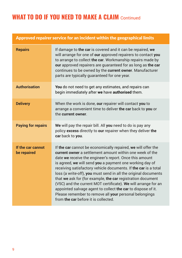# **WHAT TO DO IF YOU NEED TO MAKE A CLAIM Continued**

#### Approved repairer service for an incident within the geographical limits

| <b>Repairs</b>                   | If damage to the car is covered and it can be repaired, we<br>will arrange for one of our approved repairers to contact you<br>to arrange to collect the car. Workmanship repairs made by<br>our approved repairers are guaranteed for as long as the car<br>continues to be owned by the current owner. Manufacturer<br>parts are typically guaranteed for one year.                                                                                                                                                                                                                                                                                                                     |
|----------------------------------|-------------------------------------------------------------------------------------------------------------------------------------------------------------------------------------------------------------------------------------------------------------------------------------------------------------------------------------------------------------------------------------------------------------------------------------------------------------------------------------------------------------------------------------------------------------------------------------------------------------------------------------------------------------------------------------------|
| <b>Authorisation</b>             | You do not need to get any estimates, and repairs can<br>begin immediately after we have authorised them.                                                                                                                                                                                                                                                                                                                                                                                                                                                                                                                                                                                 |
| <b>Delivery</b>                  | When the work is done, our repairer will contact you to<br>arrange a convenient time to deliver the car back to you or<br>the current owner.                                                                                                                                                                                                                                                                                                                                                                                                                                                                                                                                              |
| <b>Paying for repairs</b>        | We will pay the repair bill. All you need to do is pay any<br>policy excess directly to our repairer when they deliver the<br>car back to you.                                                                                                                                                                                                                                                                                                                                                                                                                                                                                                                                            |
| If the car cannot<br>be repaired | If the car cannot be economically repaired, we will offer the<br>current owner a settlement amount within one week of the<br>date we receive the engineer's report. Once this amount<br>is agreed, we will send you a payment one working day of<br>receiving satisfactory vehicle documents. If the car is a total<br>loss (a write-off), you must send in all the original documents<br>that we ask for (for example, the car registration document<br>(V5C) and the current MOT certificate). We will arrange for an<br>appointed salvage agent to collect the car to dispose of it.<br>Please remember to remove all your personal belongings<br>from the car before it is collected. |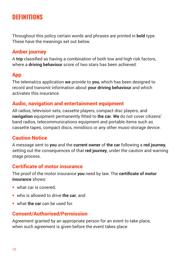### **DEFINITIONS**

Throughout this policy certain words and phrases are printed in **bold** type. These have the meanings set out below.

#### Amber journey

A **trip** classified as having a combination of both low and high risk factors, where a **driving behaviour** score of two stars has been achieved.

#### App

The telematics application **we** provide to **you**, which has been designed to record and transmit information about **your driving behaviour** and which activates this insurance.

#### Audio, navigation and entertainment equipment

All radios, television sets, cassette players, compact disc players, and **navigation** equipment permanently fitted to **the car**. **We** do not cover citizens' band radios, telecommunications equipment and portable items such as cassette tapes, compact discs, minidiscs or any other music-storage device.

#### Caution Notice

A message sent to **you** and the **current owner** of **the car** following a **red journey**, setting out the consequences of that **red journey**, under the caution and warning stage process.

#### Certificate of motor insurance

The proof of the motor insurance **you** need by law. The **certificate of motor insurance** shows:

- what car is covered;
- **•** who is allowed to drive **the car**; and
- **•** what **the car** can be used for.

#### Consent/Authorised/Permission

Agreement granted by an appropriate person for an event to take place, when such agreement is given before the event takes place.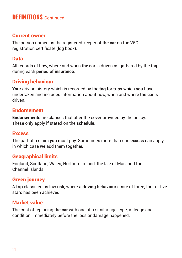### **DEFINITIONS** Continued

#### Current owner

The person named as the registered keeper of **the car** on the V5C registration certificate (log book).

#### Data

All records of how, where and when **the car** is driven as gathered by the **tag** during each **period of insurance**.

#### Driving behaviour

**Your** driving history which is recorded by the **tag** for **trips** which **you** have undertaken and includes information about how, when and where **the car** is driven.

#### Endorsement

**Endorsements** are clauses that alter the cover provided by the policy. These only apply if stated on the **schedule**.

#### **Excess**

The part of a claim **you** must pay. Sometimes more than one **excess** can apply, in which case **we** add them together.

#### Geographical limits

England, Scotland, Wales, Northern Ireland, the Isle of Man, and the Channel Islands.

#### Green journey

A **trip** classified as low risk, where a **driving behaviour** score of three, four or five stars has been achieved.

#### Market value

The cost of replacing **the car** with one of a similar age, type, mileage and condition, immediately before the loss or damage happened.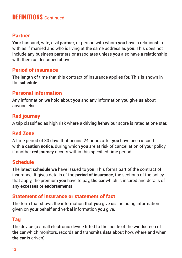### **DEFINITIONS** Continued

#### Partner

**Your** husband, wife, civil **partner**, or person with whom **you** have a relationship with as if married and who is living at the same address as **you**. This does not include any business partners or associates unless **you** also have a relationship with them as described above.

#### Period of insurance

The length of time that this contract of insurance applies for. This is shown in the **schedule**.

#### Personal information

Any information **we** hold about **you** and any information **you** give **us** about anyone else.

#### Red journey

A **trip** classified as high risk where a **driving behaviour** score is rated at one star.

#### Red Zone

A time period of 30 days that begins 24 hours after **you** have been issued with a **caution notice**, during which **you** are at risk of cancellation of **your** policy if another **red journey** occurs within this specified time period.

#### Schedule

The latest **schedule we** have issued to **you**. This forms part of the contract of insurance. It gives details of the **period of insurance**, the sections of the policy that apply, the premium **you** have to pay, **the car** which is insured and details of any **excesses** or **endorsements**.

#### Statement of insurance or statement of fact

The form that shows the information that **you** give **us**, including information given on **your** behalf and verbal information **you** give.

#### Tag

The device (a small electronic device fitted to the inside of the windscreen of **the car** which monitors, records and transmits **data** about how, where and when **the car** is driven).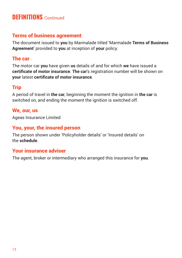### **DEFINITIONS** Continued

#### Terms of business agreement

The document issued to **you** by Marmalade titled 'Marmalade **Terms of Business Agreement**' provided to **you** at inception of **your** policy.

#### The car

The motor car **you** have given **us** details of and for which **we** have issued a **certificate of motor insurance**. **The car**'s registration number will be shown on **your** latest **certificate of motor insurance**.

#### Trip

A period of travel in **the car**, beginning the moment the ignition in **the car** is switched on, and ending the moment the ignition is switched off.

#### We, our, us

Ageas Insurance Limited

#### You, your, the insured person

The person shown under 'Policyholder details' or 'Insured details' on the **schedule**.

#### Your insurance adviser

The agent, broker or intermediary who arranged this insurance for **you**.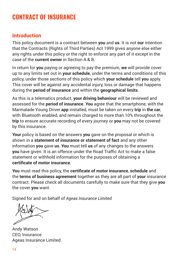### **CONTRACT OF INSURANCE**

#### **Introduction**

This policy document is a contract between **you** and **us**. It is not **our** intention that the Contracts (Rights of Third Parties) Act 1999 gives anyone else either any rights under this policy or the right to enforce any part of it except in the case of the **current owner** in Section A & B.

In return for **you** paying or agreeing to pay the premium, **we** will provide cover up to any limits set out in **your schedule**, under the terms and conditions of this policy, under those sections of this policy which **your schedule** tell **you** apply. This cover will be against any accidental injury, loss or damage that happens during the **period of insurance** and within the **geographical limits**.

As this is a telematics product, **your driving behaviour** will be reviewed and assessed for the **period of insurance**. **You** agree that the smartphone, with the Marmalade Young Driver **app** installed, must be taken on every **trip** in **the car**, with Bluetooth enabled, and remain charged to more than 10% throughout the **trip** to ensure accurate recording of every journey or **you** may not be covered by this insurance.

**Your** policy is based on the answers **you** gave on the proposal or which is shown in a **statement of insurance or statement of fact** and any other information **you** gave **us**. **You** must tell **us** of any changes to the answers **you** have given. It is an offence under the Road Traffic Act to make a false statement or withhold information for the purposes of obtaining a **certificate of motor insurance**.

**You** must read this policy, the **certificate of motor insurance**, **schedule** and the **terms of business agreement** together as they are all part of **your** insurance contract. Please check all documents carefully to make sure that they give **you** the cover **you** want.

Signed for and on behalf of *Ageas Insurance Limited*

Andy Watson CEO, Insurance Ageas Insurance Limited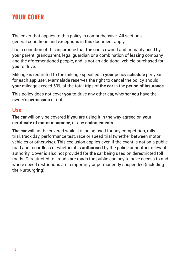## **YOUR COVER**

The cover that applies to this policy is comprehensive. All sections, general conditions and exceptions in this document apply.

It is a condition of this insurance that **the car** is owned and primarily used by **your** parent, grandparent, legal guardian or a combination of leasing company and the aforementioned people, and is not an additional vehicle purchased for **you** to drive.

Mileage is restricted to the mileage specified in **your** policy **schedule** per year for each **app** user. Marmalade reserves the right to cancel the policy should **your** mileage exceed 50% of the total trips of **the car** in the **period of insurance**.

This policy does not cover **you** to drive any other car, whether **you** have the owner's **permission** or not.

#### Use

**The car** will only be covered if **you** are using it in the way agreed on **your certificate of motor insurance**, or any **endorsements**.

**The car** will not be covered while it is being used for any competition, rally, trial, track day, performance test, race or speed trial (whether between motor vehicles or otherwise). This exclusion applies even if the event is not on a public road and regardless of whether it is **authorised** by the police or another relevant authority. Cover is also not provided for **the car** being used on derestricted toll roads. Derestricted toll roads are roads the public can pay to have access to and where speed restrictions are temporarily or permanently suspended (including the Nurburgring).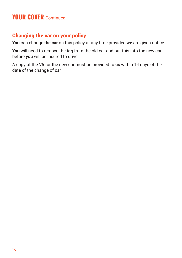### **YOUR COVER** Continued

#### Changing the car on your policy

**You** can change **the car** on this policy at any time provided **we** are given notice.

**You** will need to remove the **tag** from the old car and put this into the new car before **you** will be insured to drive.

A copy of the V5 for the new car must be provided to **us** within 14 days of the date of the change of car.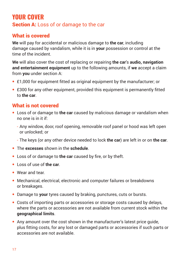### **YOUR COVER** Section A: Loss of or damage to the car

### What is covered

**We** will pay for accidental or malicious damage to **the car**, including damage caused by vandalism, while it is in **your** possession or control at the time of the incident.

**We** will also cover the cost of replacing or repairing **the car**'s **audio, navigation and entertainment equipment** up to the following amounts, if **we** accept a claim from **you** under section A:

- **•** £1,000 for equipment fitted as original equipment by the manufacturer; or
- **•** £300 for any other equipment, provided this equipment is permanently fitted to **the car**.

#### What is not covered

- **•** Loss of or damage to **the car** caused by malicious damage or vandalism when no one is in it if:
	- Any window, door, roof opening, removable roof panel or hood was left open or unlocked; or
	- The keys (or any other device needed to lock **the car**) are left in or on **the car**.
- **•** The **excesses** shown in the **schedule**.
- **•** Loss of or damage to **the car** caused by fire, or by theft.
- **•** Loss of use of **the car**.
- **•** Wear and tear.
- **•** Mechanical, electrical, electronic and computer failures or breakdowns or breakages.
- **•** Damage to **your** tyres caused by braking, punctures, cuts or bursts.
- **•** Costs of importing parts or accessories or storage costs caused by delays, where the parts or accessories are not available from current stock within the **geographical limits**.
- **•** Any amount over the cost shown in the manufacturer's latest price guide, plus fitting costs, for any lost or damaged parts or accessories if such parts or accessories are not available.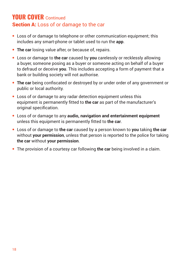### **YOUR COVER** Continued Section A: Loss of or damage to the car

- **•** Loss of or damage to telephone or other communication equipment; this includes any smart-phone or tablet used to run the **app**.
- **• The car** losing value after, or because of, repairs.
- **•** Loss or damage to **the car** caused by **you** carelessly or recklessly allowing a buyer, someone posing as a buyer or someone acting on behalf of a buyer to defraud or deceive **you**. This includes accepting a form of payment that a bank or building society will not authorise.
- **• The car** being confiscated or destroyed by or under order of any government or public or local authority.
- **•** Loss of or damage to any radar detection equipment unless this equipment is permanently fitted to **the car** as part of the manufacturer's original specification.
- **•** Loss of or damage to any **audio, navigation and entertainment equipment**  unless this equipment is permanently fitted to **the car**.
- **•** Loss of or damage to **the car** caused by a person known to **you** taking **the car** without **your permission**, unless that person is reported to the police for taking **the car** without **your permission**.
- **•** The provision of a courtesy car following **the car** being involved in a claim.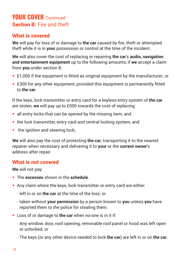### **YOUR COVER** Continued Section B: Fire and theft

#### What is covered

**We** will pay for loss of or damage to **the car** caused by fire, theft or attempted theft while it is in **your** possession or control at the time of the incident.

**We** will also cover the cost of replacing or repairing **the car**'s **audio, navigation and entertainment equipment** up to the following amounts, if **we** accept a claim from **you** under section B:

- **•** £1,000 if the equipment is fitted as original equipment by the manufacturer; or
- **•** £300 for any other equipment, provided this equipment is permanently fitted to **the car**.

If the keys, lock transmitter or entry card for a keyless entry system of **the car** are stolen, **we** will pay up to £500 towards the cost of replacing:

- **•** all entry locks that can be opened by the missing item; and
- **•** the lock transmitter, entry card and central locking system; and
- the ignition and steering lock:

**We** will also pay the cost of protecting **the car**, transporting it to the nearest repairer when necessary and delivering it to **your** or the **current owner**'s address after repair.

#### What is not covered

**We** will not pay:

- **•** The **excesses** shown in the **schedule**.
- **•** Any claim where the keys, lock transmitter or entry card are either:
	- left in or on **the car** at the time of the loss; or
	- taken without **your permission** by a person known to **you** unless **you** have reported them to the police for stealing them.
- **•** Loss of or damage to **the car** when no-one is in it if:
	- Any window, door, roof opening, removable roof panel or hood was left open or unlocked; or
	- The keys (or any other device needed to lock **the car**) are left in or on **the car**.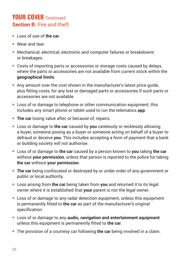### **YOUR COVER** Continued Section B: Fire and theft

- **•** Loss of use of **the car**.
- **•** Wear and tear.
- **•** Mechanical, electrical, electronic and computer failures or breakdowns or breakages.
- **•** Costs of importing parts or accessories or storage costs caused by delays, where the parts or accessories are not available from current stock within the **geographical limits**.
- **•** Any amount over the cost shown in the manufacturer's latest price guide, plus fitting costs, for any lost or damaged parts or accessories if such parts or accessories are not available.
- **•** Loss of or damage to telephone or other communication equipment; this includes any smart phone or tablet used to run the telematics **app**.
- **• The car** losing value after, or because of, repairs.
- **•** Loss or damage to **the car** caused by **you** carelessly or recklessly allowing a buyer, someone posing as a buyer or someone acting on behalf of a buyer to defraud or deceive **you**. This includes accepting a form of payment that a bank or building society will not authorise.
- **•** Loss of or damage to **the car** caused by a person known to **you** taking **the car** without **your permission**, unless that person is reported to the police for taking **the car** without **your permission**.
- **• The car** being confiscated or destroyed by or under order of any government or public or local authority.
- **•** Loss arising from **the car** being taken from **you** and returned it to its legal owner where it is established that **your** parent is not the legal owner.
- **•** Loss of or damage to any radar detection equipment, unless this equipment is permanently fitted to **the car** as part of the manufacturer's original specification.
- **•** Loss of or damage to any **audio, navigation and entertainment equipment** unless this equipment is permanently fitted to **the car**.
- **•** The provision of a courtesy car following **the car** being involved in a claim.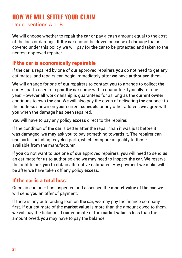### **HOW WE WILL SETTLE YOUR CLAIM** Under sections A or B

**We** will choose whether to repair **the car** or pay a cash amount equal to the cost of the loss or damage. If **the car** cannot be driven because of damage that is covered under this policy, **we** will pay for **the car** to be protected and taken to the nearest approved repairer.

#### If the car is economically repairable

If **the car** is repaired by one of **our** approved repairers **you** do not need to get any estimates, and repairs can begin immediately after **we** have **authorised** them.

**We** will arrange for one of **our** repairers to contact **you** to arrange to collect **the car**. All parts used to repair **the car** come with a guarantee- typically for one year. However all workmanship is guaranteed for as long as the **current owner** continues to own **the car**. **We** will also pay the costs of delivering **the car** back to the address shown on **your** current **schedule** or any other address **we** agree with **you** when the damage has been repaired.

**You** will have to pay any policy **excess** direct to the repairer.

If the condition of **the car** is better after the repair than it was just before it was damaged, **we** may ask **you** to pay something towards it. The repairer can use parts, including recycled parts, which compare in quality to those available from the manufacturer.

If **you** do not want to use one of **our** approved repairers, **you** will need to send **us** an estimate for **us** to authorise and **we** may need to inspect **the car**. **We** reserve the right to ask **you** to obtain alternative estimates. Any payment **we** make will be after **we** have taken off any policy **excess**.

#### If the car is a total loss:

Once an engineer has inspected and assessed the **market value** of **the car**, **we** will send **you** an offer of payment.

If there is any outstanding loan on **the car**, **we** may pay the finance company first. If **our** estimate of the **market value** is more than the amount owed to them, **we** will pay the balance. If **our** estimate of the **market value** is less than the amount owed, **you** may have to pay the balance.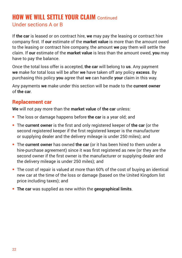### **HOW WE WILL SETTLE YOUR CLAIM** Continued Under sections A or B

If **the car** is leased or on contract hire, **we** may pay the leasing or contract hire company first. If **our** estimate of the **market value** is more than the amount owed to the leasing or contract hire company, the amount **we** pay them will settle the claim. If **our** estimate of the **market value** is less than the amount owed, **you** may have to pay the balance.

Once the total loss offer is accepted, **the car** will belong to **us**. Any payment **we** make for total loss will be after **we** have taken off any policy **excess**. By purchasing this policy **you** agree that **we** can handle **your** claim in this way.

Any payments **we** make under this section will be made to the **current owner** of **the car**.

#### Replacement car

**We** will not pay more than the **market value** of **the car** unless:

- **•** The loss or damage happens before **the car** is a year old; and
- **•** The **current owner** is the first and only registered keeper of **the car** (or the second registered keeper if the first registered keeper is the manufacturer or supplying dealer and the delivery mileage is under 250 miles); and
- **•** The **current owner** has owned **the car** (or it has been hired to them under a hire-purchase agreement) since it was first registered as new (or they are the second owner if the first owner is the manufacturer or supplying dealer and the delivery mileage is under 250 miles); and
- **•** The cost of repair is valued at more than 60% of the cost of buying an identical new car at the time of the loss or damage (based on the United Kingdom list price including taxes); and
- **• The car** was supplied as new within the **geographical limits**.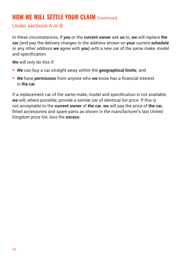### **HOW WE WILL SETTLE YOUR CLAIM** Continued

#### Under sections A or B

In these circumstances, if **you** or the **current owner** ask **us** to, **we** will replace **the car** (and pay the delivery charges to the address shown on **your** current **schedule** or any other address **we** agree with **you**) with a new car of the same make, model and specification.

**We** will only do this if:

- **• We** can buy a car straight away within the **geographical limits**; and
- **• We** have **permission** from anyone who **we** know has a financial interest in **the car**

If a replacement car of the same make, model and specification is not available, **we** will, where possible, provide a similar car of identical list price. If this is not acceptable to the **current owner** of **the car**, **we** will pay the price of **the car**, fitted accessories and spare parts as shown in the manufacturer's last United Kingdom price list, less the **excess**.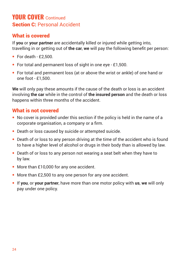### **YOUR COVER** Continued **Section C: Personal Accident**

#### What is covered

If **you** or **your partner** are accidentally killed or injured while getting into, travelling in or getting out of **the car**, **we** will pay the following benefit per person:

- **•** For death £2,500.
- **•** For total and permanent loss of sight in one eye £1,500.
- **•** For total and permanent loss (at or above the wrist or ankle) of one hand or one foot - £1,500.

**We** will only pay these amounts if the cause of the death or loss is an accident involving **the car** while in the control of **the insured person** and the death or loss happens within three months of the accident.

#### What is not covered

- **•** No cover is provided under this section if the policy is held in the name of a corporate organisation, a company or a firm.
- **•** Death or loss caused by suicide or attempted suicide.
- **•** Death of or loss to any person driving at the time of the accident who is found to have a higher level of alcohol or drugs in their body than is allowed by law.
- **•** Death of or loss to any person not wearing a seat belt when they have to by law.
- **•** More than £10,000 for any one accident.
- **•** More than £2,500 to any one person for any one accident.
- **•** If **you**, or **your partner**, have more than one motor policy with **us**, **we** will only pay under one policy.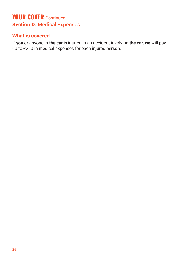### **YOUR COVER** Continued **Section D: Medical Expenses**

#### What is covered

If **you** or anyone in **the car** is injured in an accident involving **the car**, **we** will pay up to £250 in medical expenses for each injured person.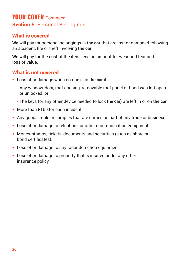### **YOUR COVER** Continued **Section E: Personal Belongings**

#### What is covered

**We** will pay for personal belongings in **the car** that are lost or damaged following an accident, fire or theft involving **the car**.

**We** will pay for the cost of the item, less an amount for wear and tear and loss of value.

#### What is not covered

- **•** Loss of or damage when no-one is in **the car** if:
	- Any window, door, roof opening, removable roof panel or hood was left open or unlocked; or
	- The keys (or any other device needed to lock **the car**) are left in or on **the car**.
- More than £100 for each incident.
- **•** Any goods, tools or samples that are carried as part of any trade or business.
- **•** Loss of or damage to telephone or other communication equipment.
- **•** Money, stamps, tickets, documents and securities (such as share or bond certificates).
- **•** Loss of or damage to any radar detection equipment
- **•** Loss of or damage to property that is insured under any other insurance policy.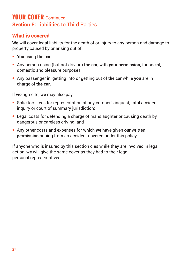### **YOUR COVER** Continued **Section F: Liabilities to Third Parties**

#### What is covered

**We** will cover legal liability for the death of or injury to any person and damage to property caused by or arising out of:

- **• You** using **the car**.
- **•** Any person using (but not driving) **the car**, with **your permission**, for social, domestic and pleasure purposes.
- **•** Any passenger in, getting into or getting out of **the car** while **you** are in charge of **the car**.

If **we** agree to, **we** may also pay:

- **•** Solicitors' fees for representation at any coroner's inquest, fatal accident inquiry or court of summary jurisdiction;
- **•** Legal costs for defending a charge of manslaughter or causing death by dangerous or careless driving; and
- **•** Any other costs and expenses for which **we** have given **our** written **permission** arising from an accident covered under this policy.

If anyone who is insured by this section dies while they are involved in legal action, **we** will give the same cover as they had to their legal personal representatives.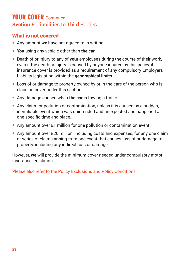### **YOUR COVER** Continued **Section F: Liabilities to Third Parties**

#### What is not covered

- **•** Any amount **we** have not agreed to in writing.
- **• You** using any vehicle other than **the car**.
- **•** Death of or injury to any of **your** employees during the course of their work, even if the death or injury is caused by anyone insured by this policy, if insurance cover is provided as a requirement of any compulsory Employers Liability legislation within the **geographical limits**.
- **•** Loss of or damage to property owned by or in the care of the person who is claiming cover under this section.
- **•** Any damage caused when **the car** is towing a trailer.
- **•** Any claim for pollution or contamination, unless it is caused by a sudden, identifiable event which was unintended and unexpected and happened at one specific time and place.
- **•** Any amount over £1 million for one pollution or contamination event.
- **•** Any amount over £20 million, including costs and expenses, for any one claim or series of claims arising from one event that causes loss of or damage to property, including any indirect loss or damage.

However, **we** will provide the minimum cover needed under compulsory motor insurance legislation.

Please also refer to the Policy Exclusions and Policy Conditions.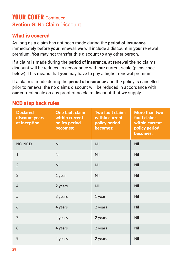### **YOUR COVER** Continued **Section G: No Claim Discount**

#### What is covered

As long as a claim has not been made during the **period of insurance** immediately before **your** renewal, **we** will include a discount in **your** renewal premium. **You** may not transfer this discount to any other person.

If a claim is made during the **period of insurance**, at renewal the no claims discount will be reduced in accordance with **our** current scale (please see below). This means that **you** may have to pay a higher renewal premium.

If a claim is made during the **period of insurance** and the policy is cancelled prior to renewal the no claims discount will be reduced in accordance with **our** current scale on any proof of no claim discount that **we** supply.

| <b>Declared</b><br>discount years<br>at inception | <b>One fault claim</b><br>within current<br>policy period<br>becomes: | <b>Two fault claims</b><br>within current<br>policy period<br>becomes: | More than two<br>fault claims<br>within current<br>policy period<br>becomes: |
|---------------------------------------------------|-----------------------------------------------------------------------|------------------------------------------------------------------------|------------------------------------------------------------------------------|
| NO NCD                                            | Nil                                                                   | Nil                                                                    | Nil                                                                          |
| $\mathbf{1}$                                      | Nil                                                                   | Nil                                                                    | Nil                                                                          |
| $\overline{2}$                                    | <b>Nil</b>                                                            | <b>Nil</b>                                                             | <b>Nil</b>                                                                   |
| 3                                                 | 1 year                                                                | <b>Nil</b>                                                             | Nil                                                                          |
| $\overline{4}$                                    | 2 years                                                               | Nil                                                                    | Nil                                                                          |
| 5                                                 | 3 years                                                               | 1 year                                                                 | Nil                                                                          |
| 6                                                 | 4 years                                                               | 2 years                                                                | <b>Nil</b>                                                                   |
| $\overline{7}$                                    | 4 years                                                               | 2 years                                                                | Nil                                                                          |
| 8                                                 | 4 years                                                               | 2 years                                                                | Nil                                                                          |
| 9                                                 | 4 years                                                               | 2 years                                                                | Nil                                                                          |

#### NCD step back rules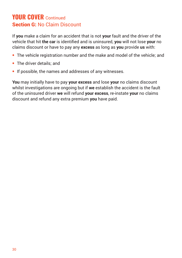### **YOUR COVER** Continued **Section G: No Claim Discount**

If **you** make a claim for an accident that is not **your** fault and the driver of the vehicle that hit **the car** is identified and is uninsured, **you** will not lose **your** no claims discount or have to pay any **excess** as long as **you** provide **us** with:

- **•** The vehicle registration number and the make and model of the vehicle; and
- **•** The driver details; and
- **•** If possible, the names and addresses of any witnesses.

**You** may initially have to pay **your excess** and lose **your** no claims discount whilst investigations are ongoing but if **we** establish the accident is the fault of the uninsured driver **we** will refund **your excess**, re-instate **your** no claims discount and refund any extra premium **you** have paid.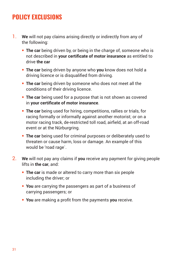### **POLICY EXCLUSIONS**

- 1. **We** will not pay claims arising directly or indirectly from any of the following:
	- **• The car** being driven by, or being in the charge of, someone who is not described in **your certificate of motor insurance** as entitled to drive **the car**
	- **• The car** being driven by anyone who **you** know does not hold a driving licence or is disqualified from driving.
	- **• The car** being driven by someone who does not meet all the conditions of their driving licence.
	- **• The car** being used for a purpose that is not shown as covered in **your certificate of motor insurance**.
	- **• The car** being used for hiring, competitions, rallies or trials, for racing formally or informally against another motorist; or on a motor racing track, de-restricted toll road, airfield, at an off-road event or at the Nürburgring.
	- **• The car** being used for criminal purposes or deliberately used to threaten or cause harm, loss or damage. An example of this would be 'road rage`.
- 2. **We** will not pay any claims if **you** receive any payment for giving people lifts in **the car**, and:
	- **• The car** is made or altered to carry more than six people including the driver; or
	- **• You** are carrying the passengers as part of a business of carrying passengers; or
	- **• You** are making a profit from the payments **you** receive.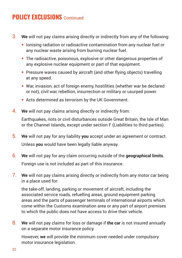### **POLICY FXCLUSIONS** Continued

- 3. **We** will not pay claims arising directly or indirectly from any of the following:
	- **•** Ionising radiation or radioactive contamination from any nuclear fuel or any nuclear waste arising from burning nuclear fuel.
	- **•** The radioactive, poisonous, explosive or other dangerous properties of any explosive nuclear equipment or part of that equipment.
	- **•** Pressure waves caused by aircraft (and other flying objects) travelling at any speed.
	- **•** War, invasion, act of foreign enemy, hostilities (whether war be declared or not), civil war, rebellion, insurrection or military or usurped power.
	- **•** Acts determined as terrorism by the UK Government.
- 4. **We** will not pay claims arising directly or indirectly from:

Earthquakes, riots or civil disturbances outside Great Britain, the Isle of Man or the Channel Islands, except under section F (Liabilities to third parties).

- 5. **We** will not pay for any liability **you** accept under an agreement or contract. Unless **you** would have been legally liable anyway.
- 6. **We** will not pay for any claim occurring outside of the **geographical limits**. Foreign use is not included as part of this insurance.
- 7. **We** will not pay claims arising directly or indirectly from any motor car being in a place used for:

the take-off, landing, parking or movement of aircraft, including the associated service roads, refuelling areas, ground equipment parking areas and the parts of passenger terminals of international airports which come within the Customs examination area or any part of airport premises to which the public does not have access to drive their vehicle.

8. **We** will not pay claims for loss or damage if **the car** is not insured annually on a separate motor insurance policy.

However, **we** will provide the minimum cover needed under compulsory motor insurance legislation.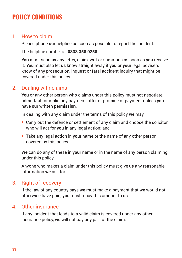### **POLICY CONDITIONS**

#### 1. How to claim

Please phone **our** helpline as soon as possible to report the incident.

The helpline number is: **0333 358 0258**

**You** must send **us** any letter, claim, writ or summons as soon as **you** receive it. **You** must also let **us** know straight away if **you** or **your** legal advisers know of any prosecution, inquest or fatal accident inquiry that might be covered under this policy.

#### 2. Dealing with claims

**You** or any other person who claims under this policy must not negotiate, admit fault or make any payment, offer or promise of payment unless **you** have **our** written **permission**.

In dealing with any claim under the terms of this policy **we** may:

- **•** Carry out the defence or settlement of any claim and choose the solicitor who will act for **you** in any legal action; and
- **•** Take any legal action in **your** name or the name of any other person covered by this policy.

**We** can do any of these in **your** name or in the name of any person claiming under this policy.

Anyone who makes a claim under this policy must give **us** any reasonable information **we** ask for.

#### 3. Right of recovery

If the law of any country says **we** must make a payment that **we** would not otherwise have paid, **you** must repay this amount to **us**.

#### 4. Other insurance

If any incident that leads to a valid claim is covered under any other insurance policy, **we** will not pay any part of the claim.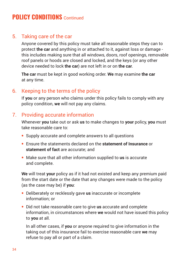#### 5. Taking care of the car

Anyone covered by this policy must take all reasonable steps they can to protect **the car** and anything in or attached to it, against loss or damage this includes making sure that all windows, doors, roof openings, removable roof panels or hoods are closed and locked, and the keys (or any other device needed to lock **the car**) are not left in or on **the car**.

**The car** must be kept in good working order. **We** may examine **the car** at any time.

### 6. Keeping to the terms of the policy

If **you** or any person who claims under this policy fails to comply with any policy condition, **we** will not pay any claims.

#### 7. Providing accurate information

Whenever **you** take out or ask **us** to make changes to **your** policy, **you** must take reasonable care to:

- **•** Supply accurate and complete answers to all questions
- **•** Ensure the statements declared on the **statement of Insurance** or **statement of fact** are accurate; and
- **•** Make sure that all other information supplied to **us** is accurate and complete.

**We** will treat **your** policy as if it had not existed and keep any premium paid from the start date or the date that any changes were made to the policy (as the case may be) if **you**:

- **•** Deliberately or recklessly gave **us** inaccurate or incomplete information; or
- **•** Did not take reasonable care to give **us** accurate and complete information, in circumstances where **we** would not have issued this policy to **you** at all.

 In all other cases, if **you** or anyone required to give information in the taking out of this insurance fail to exercise reasonable care **we** may refuse to pay all or part of a claim.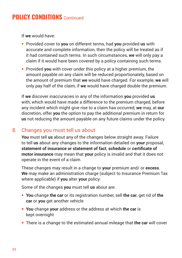If **we** would have:

- **•** Provided cover to **you** on different terms, had **you** provided **us** with accurate and complete information, then the policy will be treated as if it had contained such terms. In such circumstances, **we** will only pay a claim if it would have been covered by a policy containing such terms.
- **•** Provided **you** with cover under this policy at a higher premium, the amount payable on any claim will be reduced proportionately, based on the amount of premium that **we** would have charged. For example, **we** will only pay half of the claim, if **we** would have charged double the premium.

If **we** discover inaccuracies in any of the information **you** provided **us** with, which would have made a difference to the premium charged, before any incident which might give rise to a claim has occurred, **we** may, at **our** discretion, offer **you** the option to pay the additional premium in return for **us** not reducing the amount payable on any future claims under the policy.

#### 8. Changes you must tell us about

**You** must tell **us** about any of the changes below straight away. Failure to tell **us** about any changes to the information detailed on **your** proposal, **statement of insurance or statement of fact**, **schedule** or **certificate of motor insurance** may mean that **your** policy is invalid and that it does not operate in the event of a claim.

These changes may result in a change to **your** premium and/ or **excess**. **We** may make an administration charge (subject to Insurance Premium Tax where applicable) if **you** alter **your** policy.

Some of the changes **you** must tell **us** about are:

- **• You** change **the car** or its registration number, sell **the car**, get rid of **the car** or **you** get another vehicle
- **• You** change **your** address or the address at which **the car** is kept overnight
- **•** There is a change to the estimated annual mileage that **the car** will cover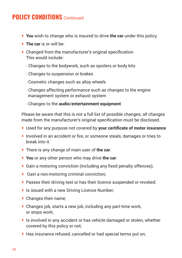- **• You** wish to change who is insured to drive **the car** under this policy.
- **• The car** is or will be:
- **•** Changed from the manufacturer's original specification. This would include:
	- Changes to the bodywork, such as spoilers or body kits
	- Changes to suspension or brakes
	- Cosmetic changes such as alloy wheels
	- Changes affecting performance such as changes to the engine management system or exhaust system
	- Changes to the **audio**/**entertainment equipment**

Please be aware that this is not a full list of possible changes; all changes made from the manufacturer's original specification must be disclosed.

- **•** Used for any purpose not covered by **your certificate of motor insurance**.
- **•** Involved in an accident or fire, or someone steals, damages or tries to break into it.
- **•** There is any change of main user of **the car**.
- **• You** or any other person who may drive **the car**:
- **•** Gain a motoring conviction (including any fixed penalty offences);
- **•** Gain a non-motoring criminal conviction;
- **•** Passes their driving test or has their licence suspended or revoked;
- **•** Is issued with a new Driving Licence Number;
- **•** Changes their name;
- **•** Changes job, starts a new job, including any part-time work, or stops work;
- **•** Is involved in any accident or has vehicle damaged or stolen, whether covered by this policy or not;
- **•** Has insurance refused, cancelled or had special terms put on;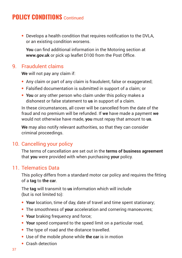**•** Develops a health condition that requires notification to the DVLA, or an existing condition worsens.

 **You** can find additional information in the Motoring section at **www.gov.uk** or pick up leaflet D100 from the Post Office.

#### 9. Fraudulent claims

**We** will not pay any claim if:

- **•** Any claim or part of any claim is fraudulent, false or exaggerated;
- **•** Falsified documentation is submitted in support of a claim; or
- **• You** or any other person who claim under this policy makes a dishonest or false statement to **us** in support of a claim.

In these circumstances, all cover will be cancelled from the date of the fraud and no premium will be refunded. If **we** have made a payment **we** would not otherwise have made, **you** must repay that amount to **us**.

**We** may also notify relevant authorities, so that they can consider criminal proceedings.

#### 10. Cancelling your policy

The terms of cancellation are set out in the **terms of business agreement** that **you** were provided with when purchasing **your** policy.

#### 11. Telematics Data

This policy differs from a standard motor car policy and requires the fitting of a **tag** to **the car**.

The **tag** will transmit to **us** information which will include (but is not limited to):

- **• Your** location, time of day, date of travel and time spent stationary;
- **•** The smoothness of **your** acceleration and cornering manoeuvres;
- **• Your** braking frequency and force;
- **• Your** speed compared to the speed limit on a particular road,
- **•** The type of road and the distance travelled.
- **•** Use of the mobile phone while **the car** is in motion
- **•** Crash detection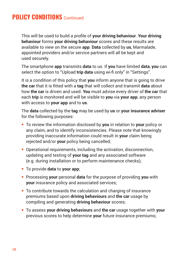This will be used to build a profile of **your driving behaviour**. **Your driving behaviour** forms **your driving behaviour** scores and these results are available to view on the secure **app**. **Data** collected by **us**, Marmalade, appointed providers and/or service partners will all be kept and used securely.

The smartphone **app** transmits **data** to us. If **you** have limited **data**, **you** can select the option to "Upload **trip data** using wi-fi only" in "Settings".

It is a condition of this policy that **you** inform anyone that is going to drive **the car** that it is fitted with a **tag** that will collect and transmit **data** about how **the car** is driven and used. **You** must advise every driver of **the car** that each **trip** is monitored and will be visible to **you** via **your app**, any person with access to **your app** and to **us**.

The **data** collected by the **tag** may be used by **us** or **your insurance adviser** for the following purposes:

- **•** To review the information disclosed by **you** in relation to **your** policy or any claim, and to identify inconsistencies. Please note that knowingly providing inaccurate information could result in **your** claim being rejected and/or **your** policy being cancelled;
- **•** Operational requirements, including the activation, disconnection, updating and testing of **your tag** and any associated software (e.g. during installation or to perform maintenance checks);
- **•** To provide **data** to **your app**;
- **•** Processing **your** personal **data** for the purpose of providing **you** with **your** insurance policy and associated services;
- **•** To contribute towards the calculation and charging of insurance premiums based upon **driving behaviours** and **the car** usage by compiling and generating **driving behaviour** scores;
- **•** To assess **your driving behaviours** and **the car** usage together with **your** previous scores to help determine **your** future insurance premiums;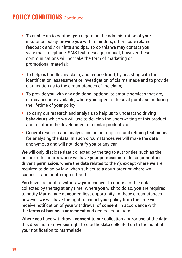- **•** To enable **us** to contact **you** regarding the administration of **your** insurance policy, provide **you** with reminders, other score related feedback and / or hints and tips. To do this **we** may contact **you** via e-mail, telephone, SMS text message, or post, however these communications will not take the form of marketing or promotional material;
- **•** To help **us** handle any claim, and reduce fraud, by assisting with the identification, assessment or investigation of claims made and to provide clarification as to the circumstances of the claim;
- **•** To provide **you** with any additional optional telematic services that are, or may become available, where **you** agree to these at purchase or during the lifetime of **your** policy;
- **•** To carry out research and analysis to help **us** to understand **driving behaviours** which **we** will use to develop the underwriting of this product and to inform the development of similar products; or
- **•** General research and analysis including mapping and refining techniques for analysing the **data**. In such circumstances **we** will make the **data** anonymous and will not identify **you** or any car.

**We** will only disclose **data** collected by the **tag** to authorities such as the police or the courts where **we** have **your permission** to do so (or another driver's **permission**, where the **data** relates to them), except where **we** are required to do so by law, when subject to a court order or where **we** suspect fraud or attempted fraud.

**You** have the right to withdraw **your consent** to **our** use of the **data** collected by the **tag** at any time. Where **you** wish to do so, **you** are required to notify Marmalade at **your** earliest opportunity. In these circumstances however, **we** will have the right to cancel **your** policy from the date **we** receive notification of **your** withdrawal of **consent**, in accordance with the **terms of business agreement** and general conditions.

Where **you** have withdrawn **consent** to **our** collection and/or use of the **data**, this does not remove **our** right to use the **data** collected up to the point of **your** notification to Marmalade.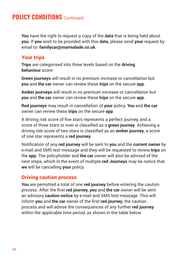**You** have the right to request a copy of the **data** that is being held about **you**. If **you** wish to be provided with this **data**, please send **your** request by email to: **familycar@marmalade.co.uk**.

#### Your trips

**Trips** are categorised into three levels based on the **driving behaviour** score:

**Green journeys** will result in no premium increase or cancellation but **you** and **the car** owner can review these **trips** on the secure **app**.

**Amber journeys** will result in no premium increase or cancellation but **you** and **the car** owner can review these **trips** on the secure **app**.

**Red journeys** may result in cancellation of **your** policy. **You** and **the car** owner can review these **trips** on the secure **app**.

A driving risk score of five stars represents a perfect journey, and a score of three stars or over is classified as a **green journey**. Achieving a driving risk score of two stars is classified as an **amber journey**, a score of one star represents a **red journey**.

Notification of any **red journey** will be sent to **you** and the **current owner** by e-mail and SMS text message and they will be requested to review **trips** on the **app**. The policyholder and **the car** owner will also be advised of the next steps, which in the event of multiple **red Journeys** may be notice that **we** will be cancelling **your** policy.

#### Driving caution process

**You** are permitted a total of one **red journey** before entering the caution process. After the first **red journey**, **you** and **the car** owner will be sent an advisory **caution notice** by e-mail and SMS text message. This will inform **you** and **the car** owner of the first **red journey**, the caution process and will advise the consequences of any further **red journey** within the applicable time period, as shown in the table below.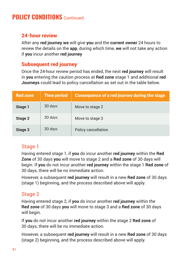#### 24-hour review

After any **red journey we** will give **you** and the **current owner** 24 hours to review the details on the **app**, during which time, **we** will not take any action if **you** incur another **red journey**

### Subsequent red journey

Once the 24-hour review period has ended, the next **red journey** will result in **you** entering the caution process at **Red zone** stage 1 and additional **red Journeys** could lead to policy cancellation as set out in the table below.

| <b>Red zone</b> | <b>Time period</b> | <b>Consequence of a red journey during the stage</b> |
|-----------------|--------------------|------------------------------------------------------|
| Stage 1         | 30 days            | Move to stage 2                                      |
| Stage 2         | 30 days            | Move to stage 3                                      |
| Stage 3         | 30 days            | Policy cancellation                                  |

#### Stage 1

Having entered stage 1, if **you** do incur another **red journey** within the **Red Zone** of 30 days **you** will move to stage 2 and a **Red zone** of 30 days will begin. If **you** do not incur another **red journey** within the stage 1 **Red zone** of 30 days, there will be no immediate action.

However, a subsequent **red journey** will result in a new **Red zone** of 30 days (stage 1) beginning, and the process described above will apply.

#### Stage 2

Having entered stage 2, if **you** do incur another **red journey** within the **Red zone** of 30 days **you** will move to stage 3 and a **Red zone** of 30 days will begin.

If **you** do not incur another **red journey** within the stage 2 **Red zone** of 30 days, there will be no immediate action.

However, a subsequent **red journey** will result in a new **Red zone** of 30 days (stage 2) beginning, and the process described above will apply.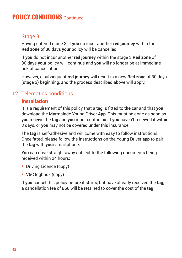#### Stage 3

Having entered stage 3, if **you** do incur another **red journey** within the **Red zone** of 30 days **your** policy will be cancelled.

If **you** do not incur another **red journey** within the stage 3 **Red zone** of 30 days **your** policy will continue and **you** will no longer be at immediate risk of cancellation.

However, a subsequent **red journey** will result in a new **Red zone** of 30 days (stage 3) beginning, and the process described above will apply.

### 12. Telematics conditions

#### **Installation**

It is a requirement of this policy that a **tag** is fitted to **the car** and that **you** download the Marmalade Young Driver **App**. This must be done as soon as **you** receive the **tag** and **you** must contact **us** if **you** haven't received it within 3 days, or **you** may not be covered under this insurance.

The **tag** is self-adhesive and will come with easy to follow instructions. Once fitted, please follow the instructions on the Young Driver **app** to pair the **tag** with **your** smartphone.

**You** can drive straight away subject to the following documents being received within 24 hours:

- **•** Driving Licence (copy)
- **•** V5C logbook (copy)

If **you** cancel this policy before it starts, but have already received the **tag**, a cancellation fee of £60 will be retained to cover the cost of the **tag**.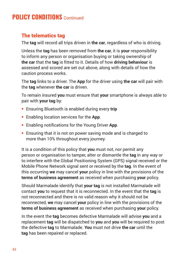#### The telematics tag

The **tag** will record all trips driven in **the car**, regardless of who is driving.

Unless the **tag** has been removed from **the car**, it is **your** responsibility to inform any person or organisation buying or taking ownership of **the car** that the **tag** is fitted to it. Details of how **driving behaviour** is assessed and scored are set out above, along with details of how the caution process works.

The **tag** links to a driver. The **App** for the driver using **the car** will pair with the **tag** whenever **the car** is driven.

To remain insured **you** must ensure that **your** smartphone is always able to pair with **your tag** by:

- **•** Ensuring Bluetooth is enabled during every **trip**
- **•** Enabling location services for the **App**.
- **•** Enabling notifications for the Young Driver **App**.
- **•** Ensuring that it is not on power saving mode and is charged to more than 10% throughout every journey.

It is a condition of this policy that **you** must not, nor permit any person or organisation to tamper, alter or dismantle the **tag** in any way or to interfere with the Global Positioning System (GPS) signal received or the Mobile Phone Network signal sent or received by the **tag**. In the event of this occurring **we** may cancel **your** policy in line with the provisions of the **terms of business agreement** as received when purchasing **your** policy.

Should Marmalade identify that **your tag** is not installed Marmalade will contact **you** to request that it is reconnected. In the event that the **tag** is not reconnected and there is no valid reason why it should not be reconnected, **we** may cancel **your** policy in line with the provisions of the **terms of business agreement** as received when purchasing **your** policy.

In the event the **tag** becomes defective Marmalade will advise **you** and a replacement **tag** will be dispatched to **you** and **you** will be required to post the defective **tag** to Marmalade. **You** must not drive **the car** until the **tag** has been repaired or replaced.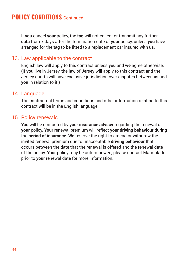If **you** cancel **your** policy, the **tag** will not collect or transmit any further **data** from 7 days after the termination date of **your** policy, unless **you** have arranged for the **tag** to be fitted to a replacement car insured with **us**.

#### 13. Law applicable to the contract

English law will apply to this contract unless **you** and **we** agree otherwise. (If **you** live in Jersey, the law of Jersey will apply to this contract and the Jersey courts will have exclusive jurisdiction over disputes between **us** and **you** in relation to it.)

#### 14. Language

The contractual terms and conditions and other information relating to this contract will be in the English language.

#### 15. Policy renewals

**You** will be contacted by **your insurance adviser** regarding the renewal of **your** policy. **Your** renewal premium will reflect **your driving behaviour** during the **period of insurance**. **We** reserve the right to amend or withdraw the invited renewal premium due to unacceptable **driving behaviour** that occurs between the date that the renewal is offered and the renewal date of the policy. **Your** policy may be auto-renewed, please contact Marmalade prior to **your** renewal date for more information.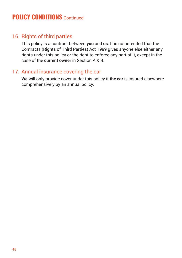#### 16. Rights of third parties

This policy is a contract between **you** and **us**. It is not intended that the Contracts (Rights of Third Parties) Act 1999 gives anyone else either any rights under this policy or the right to enforce any part of it, except in the case of the **current owner** in Section A & B.

#### 17. Annual insurance covering the car

**We** will only provide cover under this policy if **the car** is insured elsewhere comprehensively by an annual policy.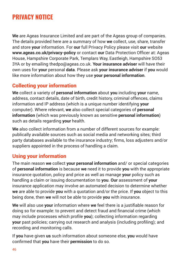### **PRIVACY NOTICE**

**We** are Ageas Insurance Limited and are part of the Ageas group of companies. The details provided here are a summary of how **we** collect, use, share, transfer and store **your** information. For **our** full Privacy Policy please visit **our** website **www.ageas.co.uk/privacy-policy** or contact **our** Data Protection Officer at: Ageas House, Hampshire Corporate Park, Templars Way, Eastleigh, Hampshire SO53 3YA or by emailing thedpo@ageas.co.uk. **Your insurance adviser** will have their own uses for **your** personal **data**. Please ask **your insurance adviser** if **you** would like more information about how they use **your personal information**.

#### Collecting your information

**We** collect a variety of **personal information** about **you** including **your** name, address, contact details, date of birth, credit history, criminal offences, claims information and IP address (which is a unique number identifying **your** computer). Where relevant, **we** also collect special categories of **personal information** (which was previously known as sensitive **personal information**) such as details regarding **your** health.

**We** also collect information from a number of different sources for example: publically available sources such as social media and networking sites; third party databases available to the insurance industry; firms, loss adjusters and/or suppliers appointed in the process of handling a claim.

#### Using your information

The main reason **we** collect **your personal information** and/ or special categories of **personal information** is because **we** need it to provide **you** with the appropriate insurance quotation, policy and price as well as manage **your** policy such as handling a claim or issuing documentation to **you**. **Our** assessment of **your** insurance application may involve an automated decision to determine whether **we** are able to provide **you** with a quotation and/or the price. If **you** object to this being done, then **we** will not be able to provide **you** with insurance.

**We** will also use **your** information where **we** feel there is a justifiable reason for doing so for example: to prevent and detect fraud and financial crime (which may include processes which profile **you**); collecting information regarding **your** past policies; carrying out research and analysis (including profiling); and recording and monitoring calls.

If **you** have given **us** such information about someone else, **you** would have confirmed that **you** have their **permission** to do so.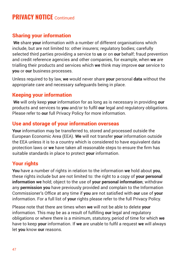### **PRIVACY NOTICE** Continued

#### Sharing your information

**We** share **your** information with a number of different organisations which include, but are not limited to: other insurers; regulatory bodies; carefully selected third parties providing a service to **us** or on **our** behalf; fraud prevention and credit reference agencies and other companies, for example, when **we** are trialling their products and services which **we** think may improve **our** service to **you** or **our** business processes.

Unless required to by law, **we** would never share **your** personal **data** without the appropriate care and necessary safeguards being in place.

#### Keeping your information

**We** will only keep **your** information for as long as is necessary in providing **our** products and services to **you** and/or to fulfil **our** legal and regulatory obligations. Please refer to **our** full Privacy Policy for more information.

#### Use and storage of your information overseas

**Your** information may be transferred to, stored and processed outside the European Economic Area (EEA). **We** will not transfer **your** information outside the EEA unless it is to a country which is considered to have equivalent data protection laws or **we** have taken all reasonable steps to ensure the firm has suitable standards in place to protect **your** information.

#### Your rights

**You** have a number of rights in relation to the information **we** hold about **you**, these rights include but are not limited to: the right to a copy of **your personal information we** hold; object to the use of **your personal information**; withdraw any **permission you** have previously provided and complain to the Information Commissioner's Office at any time if **you** are not satisfied with **our** use of **your** information. For a full list of **your** rights please refer to the full Privacy Policy.

Please note that there are times when **we** will not be able to delete **your** information. This may be as a result of fulfilling **our** legal and regulatory obligations or where there is a minimum, statutory, period of time for which **we** have to keep **your** information. If **we** are unable to fulfil a request **we** will always let **you** know **our** reasons.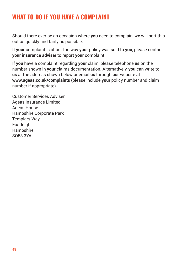### **WHAT TO DO IF YOU HAVE A COMPLAINT**

Should there ever be an occasion where **you** need to complain, **we** will sort this out as quickly and fairly as possible.

If **your** complaint is about the way **your** policy was sold to **you**, please contact **your insurance adviser** to report **your** complaint.

If **you** have a complaint regarding **your** claim, please telephone **us** on the number shown in **your** claims documentation. Alternatively, **you** can write to **us** at the address shown below or email **us** through **our** website at **www.ageas.co.uk/complaints** (please include **your** policy number and claim number if appropriate)

Customer Services Adviser Ageas Insurance Limited Ageas House Hampshire Corporate Park Templars Way Eastleigh Hampshire SO53 3YA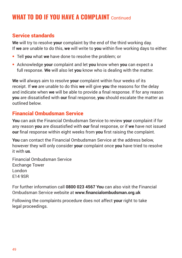### **WHAT TO DO IF YOU HAVE A COMPLAINT** Continued

#### Service standards

**We** will try to resolve **your** complaint by the end of the third working day. If **we** are unable to do this, **we** will write to **you** within five working days to either:

- **•** Tell **you** what **we** have done to resolve the problem; or
- **•** Acknowledge **your** complaint and let **you** know when **you** can expect a full response. **We** will also let **you** know who is dealing with the matter.

**We** will always aim to resolve **your** complaint within four weeks of its receipt. If **we** are unable to do this **we** will give **you** the reasons for the delay and indicate when **we** will be able to provide a final response. If for any reason **you** are dissatisfied with **our** final response, **you** should escalate the matter as outlined below.

#### Financial Ombudsman Service

**You** can ask the Financial Ombudsman Service to review **your** complaint if for any reason **you** are dissatisfied with **our** final response, or if **we** have not issued **our** final response within eight weeks from **you** first raising the complaint.

**You** can contact the Financial Ombudsman Service at the address below, however they will only consider **your** complaint once **you** have tried to resolve it with **us**.

Financial Ombudsman Service Exchange Tower London E14 9SR

For further information call **0800 023 4567 You** can also visit the Financial Ombudsman Service website at **www.financialombudsman.org.uk** 

Following the complaints procedure does not affect **your** right to take legal proceedings.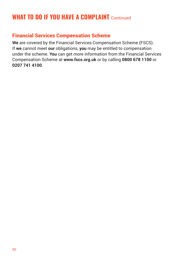### **WHAT TO DO IF YOU HAVE A COMPLAINT** Continued

#### Financial Services Compensation Scheme

**We** are covered by the Financial Services Compensation Scheme (FSCS). If **we** cannot meet **our** obligations, **you** may be entitled to compensation under the scheme. **You** can get more information from the Financial Services Compensation Scheme at **www.fscs.org.uk** or by calling **0800 678 1100** or **0207 741 4100**.